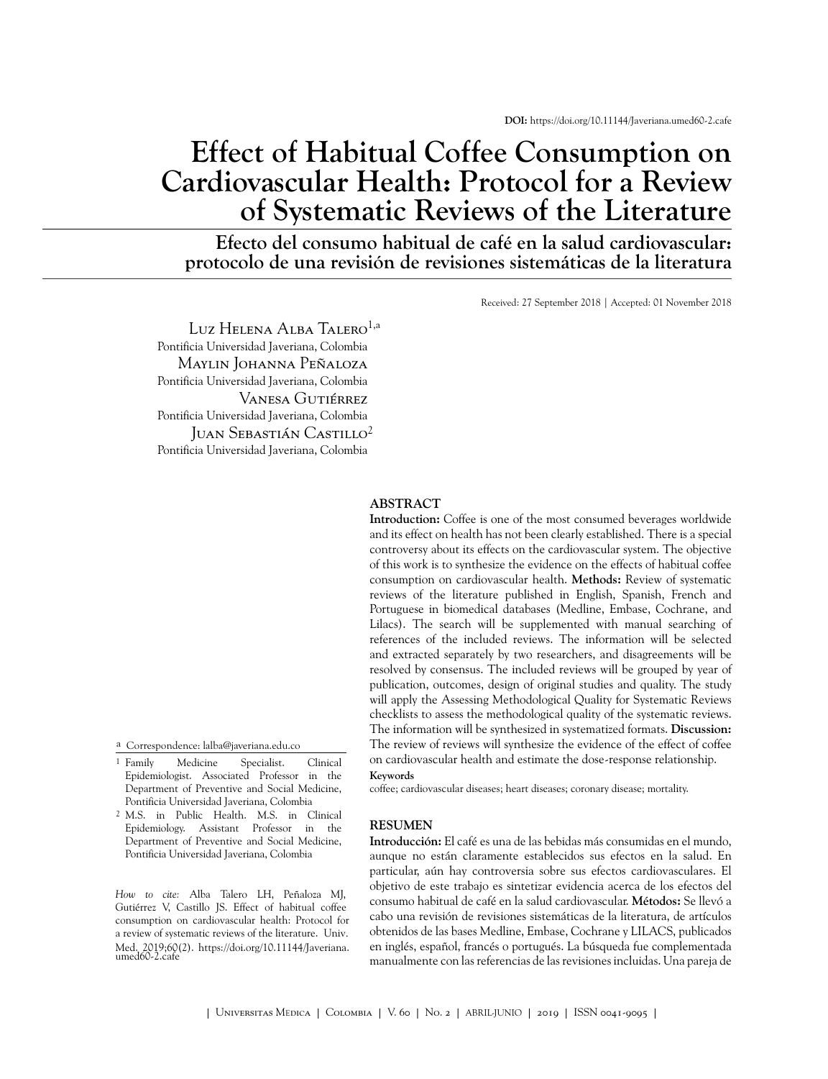# **Effect of Habitual Coffee Consumption on Cardiovascular Health: Protocol for a Review of Systematic Reviews of the Literature**

**Efecto del consumo habitual de café en la salud cardiovascular: protocolo de una revisión de revisiones sistemáticas de la literatura**

Received: 27 September 2018 | Accepted: 01 November 2018

Luz Helena Alba Talero<sup>1,a</sup> Pontificia Universidad Javeriana, Colombia Maylin Johanna Peñaloza Pontificia Universidad Javeriana, Colombia Vanesa Gutiérrez Pontificia Universidad Javeriana, Colombia Juan Sebastián Castillo<sup>2</sup> Pontificia Universidad Javeriana, Colombia

a Correspondence: lalba@javeriana.edu.co

<sup>1</sup> Family Family Medicine Specialist. Clinical Epidemiologist. Associated Professor in the Department of Preventive and Social Medicine, Pontificia Universidad Javeriana, Colombia

2 M.S. in Public Health. M.S. in Clinical Epidemiology. Assistant Professor in the Department of Preventive and Social Medicine, Pontificia Universidad Javeriana, Colombia

*How to cite:* Alba Talero LH, Peñaloza MJ, Gutiérrez V, Castillo JS. Effect of habitual coffee consumption on cardiovascular health: Protocol for a review of systematic reviews of the literature. Univ. [Med. 2019;60\(2\). https://doi.org/10.11144/Javeriana.](https://dx.doi.org/10.11144/Javeriana.umed60-2.caf�) umed60-2.cafe

#### **ABSTRACT**

**Introduction:** Coffee is one of the most consumed beverages worldwide and its effect on health has not been clearly established. There is a special controversy about its effects on the cardiovascular system. The objective of this work is to synthesize the evidence on the effects of habitual coffee consumption on cardiovascular health. **Methods:** Review of systematic reviews of the literature published in English, Spanish, French and Portuguese in biomedical databases (Medline, Embase, Cochrane, and Lilacs). The search will be supplemented with manual searching of references of the included reviews. The information will be selected and extracted separately by two researchers, and disagreements will be resolved by consensus. The included reviews will be grouped by year of publication, outcomes, design of original studies and quality. The study will apply the Assessing Methodological Quality for Systematic Reviews checklists to assess the methodological quality of the systematic reviews. The information will be synthesized in systematized formats. **Discussion:** The review of reviews will synthesize the evidence of the effect of coffee on cardiovascular health and estimate the dose-response relationship.

#### **Keywords**

coffee; cardiovascular diseases; heart diseases; coronary disease; mortality.

#### **RESUMEN**

**Introducción:** El café es una de las bebidas más consumidas en el mundo, aunque no están claramente establecidos sus efectos en la salud. En particular, aún hay controversia sobre sus efectos cardiovasculares. El objetivo de este trabajo es sintetizar evidencia acerca de los efectos del consumo habitual de café en la salud cardiovascular. **Métodos:** Se llevó a cabo una revisión de revisiones sistemáticas de la literatura, de artículos obtenidos de las bases Medline, Embase, Cochrane y LILACS, publicados en inglés, español, francés o portugués. La búsqueda fue complementada manualmente con las referencias de las revisiones incluidas. Una pareja de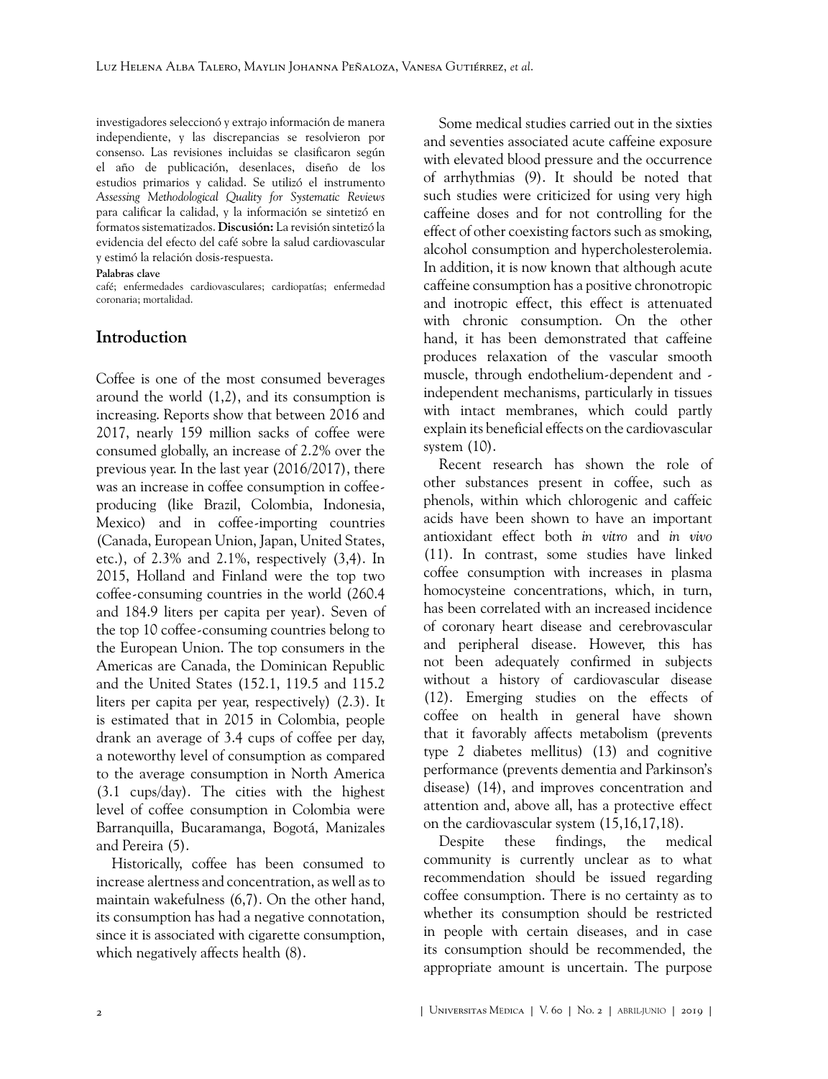investigadores seleccionó y extrajo información de manera independiente, y las discrepancias se resolvieron por consenso. Las revisiones incluidas se clasificaron según el año de publicación, desenlaces, diseño de los estudios primarios y calidad. Se utilizó el instrumento *Assessing Methodological Quality for Systematic Reviews* para calificar la calidad, y la información se sintetizó en formatos sistematizados. **Discusión:** La revisión sintetizó la evidencia del efecto del café sobre la salud cardiovascular y estimó la relación dosis-respuesta.

#### **Palabras clave**

café; enfermedades cardiovasculares; cardiopatías; enfermedad coronaria; mortalidad.

### **Introduction**

Coffee is one of the most consumed beverages around the world [\(1,](#page-3-0)[2\)](#page-3-1), and its consumption is increasing. Reports show that between 2016 and 2017, nearly 159 million sacks of coffee were consumed globally, an increase of 2.2% over the previous year. In the last year (2016/2017), there was an increase in coffee consumption in coffeeproducing (like Brazil, Colombia, Indonesia, Mexico) and in coffee-importing countries (Canada, European Union, Japan, United States, etc.), of 2.3% and 2.1%, respectively ([3](#page-4-0)[,4\)](#page-4-1). In 2015, Holland and Finland were the top two coffee-consuming countries in the world (260.4 and 184.9 liters per capita per year). Seven of the top 10 coffee-consuming countries belong to the European Union. The top consumers in the Americas are Canada, the Dominican Republic and the United States (152.1, 119.5 and 115.2 liters per capita per year, respectively) ([2](#page-3-1).[3](#page-4-0)). It is estimated that in 2015 in Colombia, people drank an average of 3.4 cups of coffee per day, a noteworthy level of consumption as compared to the average consumption in North America (3.1 cups/day). The cities with the highest level of coffee consumption in Colombia were Barranquilla, Bucaramanga, Bogotá, Manizales and Pereira [\(5\)](#page-4-2).

Historically, coffee has been consumed to increase alertness and concentration, as well as to maintain wakefulness ([6](#page-4-3),[7](#page-4-4)). On the other hand, its consumption has had a negative connotation, since it is associated with cigarette consumption, which negatively affects health [\(8\)](#page-4-5).

Some medical studies carried out in the sixties and seventies associated acute caffeine exposure with elevated blood pressure and the occurrence of arrhythmias ([9](#page-4-6)). It should be noted that such studies were criticized for using very high caffeine doses and for not controlling for the effect of other coexisting factors such as smoking, alcohol consumption and hypercholesterolemia. In addition, it is now known that although acute caffeine consumption has a positive chronotropic and inotropic effect, this effect is attenuated with chronic consumption. On the other hand, it has been demonstrated that caffeine produces relaxation of the vascular smooth muscle, through endothelium-dependent and independent mechanisms, particularly in tissues with intact membranes, which could partly explain its beneficial effects on the cardiovascular system ([10\)](#page-4-7).

Recent research has shown the role of other substances present in coffee, such as phenols, within which chlorogenic and caffeic acids have been shown to have an important antioxidant effect both *in vitro* and *in vivo* ([11\)](#page-4-8). In contrast, some studies have linked coffee consumption with increases in plasma homocysteine concentrations, which, in turn, has been correlated with an increased incidence of coronary heart disease and cerebrovascular and peripheral disease. However, this has not been adequately confirmed in subjects without a history of cardiovascular disease ([12\)](#page-4-9). Emerging studies on the effects of coffee on health in general have shown that it favorably affects metabolism (prevents type 2 diabetes mellitus) ([13\)](#page-4-10) and cognitive performance (prevents dementia and Parkinson's disease) ([14\)](#page-4-11), and improves concentration and attention and, above all, has a protective effect on the cardiovascular system ([15,](#page-4-12)[16](#page-4-13)[,17](#page-4-14),[18\)](#page-4-15).

Despite these findings, the medical community is currently unclear as to what recommendation should be issued regarding coffee consumption. There is no certainty as to whether its consumption should be restricted in people with certain diseases, and in case its consumption should be recommended, the appropriate amount is uncertain. The purpose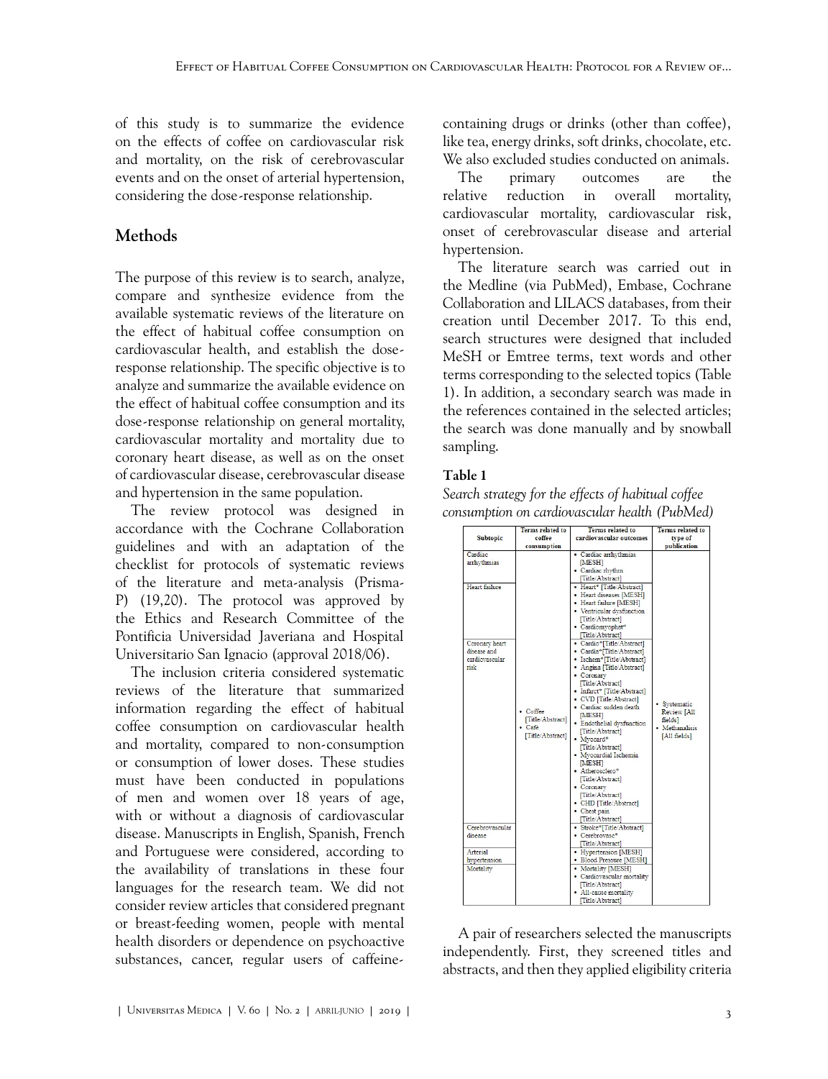of this study is to summarize the evidence on the effects of coffee on cardiovascular risk and mortality, on the risk of cerebrovascular events and on the onset of arterial hypertension, considering the dose-response relationship.

# **Methods**

The purpose of this review is to search, analyze, compare and synthesize evidence from the available systematic reviews of the literature on the effect of habitual coffee consumption on cardiovascular health, and establish the doseresponse relationship. The specific objective is to analyze and summarize the available evidence on the effect of habitual coffee consumption and its dose-response relationship on general mortality, cardiovascular mortality and mortality due to coronary heart disease, as well as on the onset of cardiovascular disease, cerebrovascular disease and hypertension in the same population.

The review protocol was designed in accordance with the Cochrane Collaboration guidelines and with an adaptation of the checklist for protocols of systematic reviews of the literature and meta-analysis (Prisma-P) ([19](#page-5-0)[,20](#page-5-1)). The protocol was approved by the Ethics and Research Committee of the Pontificia Universidad Javeriana and Hospital Universitario San Ignacio (approval 2018/06).

The inclusion criteria considered systematic reviews of the literature that summarized information regarding the effect of habitual coffee consumption on cardiovascular health and mortality, compared to non-consumption or consumption of lower doses. These studies must have been conducted in populations of men and women over 18 years of age, with or without a diagnosis of cardiovascular disease. Manuscripts in English, Spanish, French and Portuguese were considered, according to the availability of translations in these four languages for the research team. We did not consider review articles that considered pregnant or breast-feeding women, people with mental health disorders or dependence on psychoactive substances, cancer, regular users of caffeinecontaining drugs or drinks (other than coffee), like tea, energy drinks, soft drinks, chocolate, etc. We also excluded studies conducted on animals.

The primary outcomes are the relative reduction in overall mortality, cardiovascular mortality, cardiovascular risk, onset of cerebrovascular disease and arterial hypertension.

The literature search was carried out in the Medline (via PubMed), Embase, Cochrane Collaboration and LILACS databases, from their creation until December 2017. To this end, search structures were designed that included MeSH or Emtree terms, text words and other terms corresponding to the selected topics ([Table](#page-2-0) [1](#page-2-0)). In addition, a secondary search was made in the references contained in the selected articles; the search was done manually and by snowball sampling.

## <span id="page-2-0"></span>Table 1

*Search strategy for the effects of habitual coffee consumption on cardiovascular health (PubMed)*

| <b>Subtopic</b>                                                                                    | <b>Terms related to</b><br>coffee<br>consumption           | <b>Terms</b> related to<br>cardiovascular outcomes                                                                                                                                                                                                                                                                                                                                        | <b>Terms</b> related to<br>type of<br>publication                        |
|----------------------------------------------------------------------------------------------------|------------------------------------------------------------|-------------------------------------------------------------------------------------------------------------------------------------------------------------------------------------------------------------------------------------------------------------------------------------------------------------------------------------------------------------------------------------------|--------------------------------------------------------------------------|
| Cardiac<br>arrhythmias<br>Heart failure<br>Coronary heart<br>disease and<br>cardiovascular<br>risk | • Coffee<br>[Title/Abstract]<br>• Café<br>[Title/Abstract] | · Cardiac arrhythmias<br><b>MESH</b><br>· Cardiac rhythm<br>[Title/Abstract]<br>• Heart* [Title/Abstract]<br>• Heart diseases [MESH]<br>• Heart failure [MESH]<br>• Ventricular dysfunction<br>[Title/Abstract]<br>· Cardiomyophat*<br>[Title/Abstract]<br>• Cardio*[Title/Abstract]<br>• Cardia*[Title/Abstract]<br>· Ischem*[Title/Abstract]<br>• Angina [Title/Abstract]<br>• Coronary | • Systematic<br>Review [All<br>fieldsl<br>· Methanalisis<br>[All fields] |
|                                                                                                    |                                                            | [Title/Abstract]<br>• Infarct* [Title/Abstract]<br>• CVD [Title/Abstract]<br>· Cardiac sudden death<br>[MESH]<br>· Endothelial dysfunction<br>[Title/Abstract]<br>· Mvocard*<br>[Title/Abstract]<br>• Myocardial Ischemia<br><b>MESH</b><br>· Atherosclero*<br>[Title/Abstract]<br>• Coronary<br>[Title/Abstract]<br>• CHD [Title/Abstract]<br>• Chest pain<br>[Title/Abstract]           |                                                                          |
| Cerebrovascular<br>disease                                                                         |                                                            | · Stroke*[Title/Abstract]<br>• Cerebrovasc*<br>[Title/Abstract]                                                                                                                                                                                                                                                                                                                           |                                                                          |
| Arterial<br>hypertension                                                                           |                                                            | • Hypertension [MESH]<br>• Blood Pressure [MESH]                                                                                                                                                                                                                                                                                                                                          |                                                                          |
| Mortality                                                                                          |                                                            | • Mortality [MESH]<br>• Cardiovascular mortality<br>[Title/Abstract]<br>· All-cause mortality<br>$T$ etla/ $\Delta$ hetrant                                                                                                                                                                                                                                                               |                                                                          |

A pair of researchers selected the manuscripts independently. First, they screened titles and abstracts, and then they applied eligibility criteria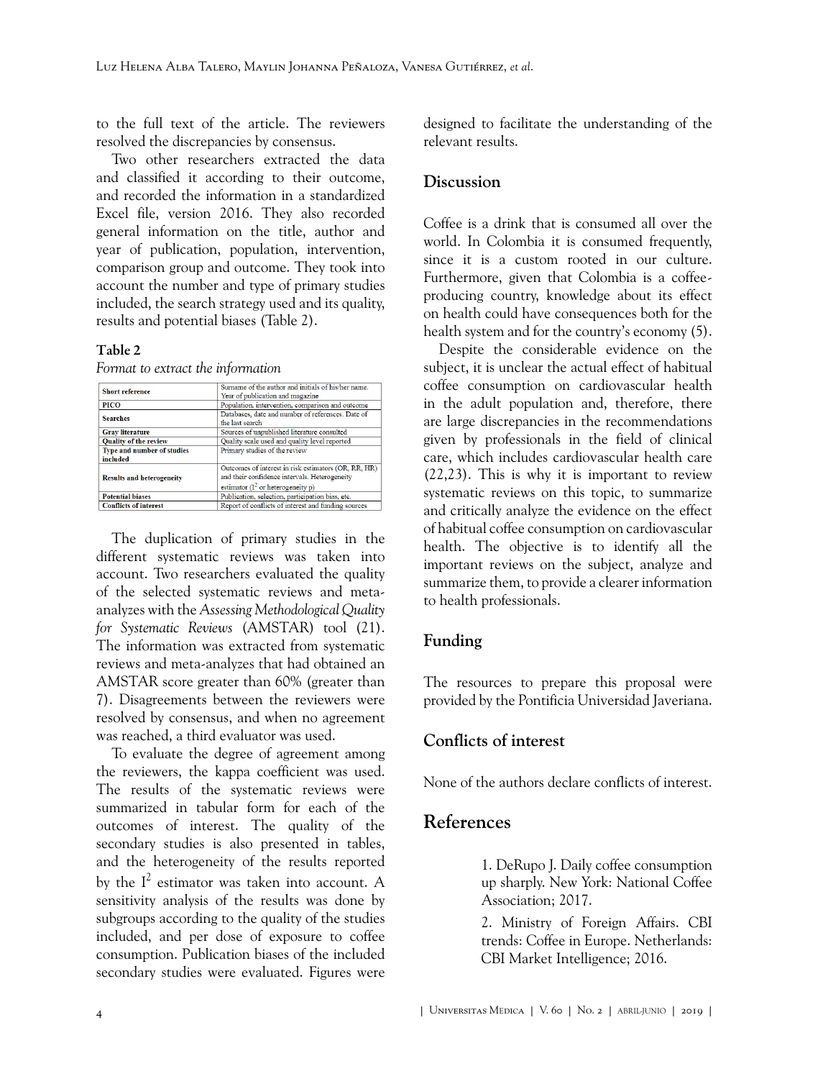to the full text of the article. The reviewers resolved the discrepancies by consensus.

Two other researchers extracted the data and classified it according to their outcome, and recorded the information in a standardized Excel file, version 2016. They also recorded general information on the title, author and year of publication, population, intervention, comparison group and outcome. They took into account the number and type of primary studies included, the search strategy used and its quality, results and potential biases [\(Table 2](#page-3-2)).

#### <span id="page-3-2"></span>Table 2

*Format to extract the information*

| <b>Short reference</b>           | Surname of the author and initials of his/her name.  |  |
|----------------------------------|------------------------------------------------------|--|
|                                  | Year of publication and magazine                     |  |
| PICO                             | Population, intervention, comparison and outcome     |  |
| <b>Searches</b>                  | Databases, date and number of references. Date of    |  |
|                                  | the last search                                      |  |
| <b>Gray literature</b>           | Sources of unpublished literature consulted          |  |
| <b>Quality of the review</b>     | Quality scale used and quality level reported        |  |
| Type and number of studies       | Primary studies of the review                        |  |
| included                         |                                                      |  |
|                                  | Outcomes of interest in risk estimators (OR, RR, HR) |  |
| <b>Results and heterogeneity</b> | and their confidence intervals. Heterogeneity        |  |
|                                  | estimator ( $I^2$ or heterogeneity p)                |  |
| <b>Potential biases</b>          | Publication, selection, participation bias, etc.     |  |
| <b>Conflicts of interest</b>     | Report of conflicts of interest and funding sources  |  |

The duplication of primary studies in the different systematic reviews was taken into account. Two researchers evaluated the quality of the selected systematic reviews and metaanalyzes with the *Assessing Methodological Quality for Systematic Reviews* (AMSTAR) tool ([21\)](#page-5-2). The information was extracted from systematic reviews and meta-analyzes that had obtained an AMSTAR score greater than 60% (greater than 7). Disagreements between the reviewers were resolved by consensus, and when no agreement was reached, a third evaluator was used.

To evaluate the degree of agreement among the reviewers, the kappa coefficient was used. The results of the systematic reviews were summarized in tabular form for each of the outcomes of interest. The quality of the secondary studies is also presented in tables, and the heterogeneity of the results reported by the  $I^2$  estimator was taken into account. A sensitivity analysis of the results was done by subgroups according to the quality of the studies included, and per dose of exposure to coffee consumption. Publication biases of the included secondary studies were evaluated. Figures were

designed to facilitate the understanding of the relevant results.

### **Discussion**

Coffee is a drink that is consumed all over the world. In Colombia it is consumed frequently, since it is a custom rooted in our culture. Furthermore, given that Colombia is a coffeeproducing country, knowledge about its effect on health could have consequences both for the health system and for the country's economy [\(5\)](#page-4-2).

Despite the considerable evidence on the subject, it is unclear the actual effect of habitual coffee consumption on cardiovascular health in the adult population and, therefore, there are large discrepancies in the recommendations given by professionals in the field of clinical care, which includes cardiovascular health care ([22](#page-5-3)[,23](#page-5-4)). This is why it is important to review systematic reviews on this topic, to summarize and critically analyze the evidence on the effect of habitual coffee consumption on cardiovascular health. The objective is to identify all the important reviews on the subject, analyze and summarize them, to provide a clearer information to health professionals.

### **Funding**

The resources to prepare this proposal were provided by the Pontificia Universidad Javeriana.

### **Conflicts of interest**

None of the authors declare conflicts of interest.

# <span id="page-3-0"></span>**References**

1. DeRupo J. Daily coffee consumption up sharply. New York: National Coffee Association; 2017.

<span id="page-3-1"></span>2. Ministry of Foreign Affairs. CBI trends: Coffee in Europe. Netherlands: CBI Market Intelligence; 2016.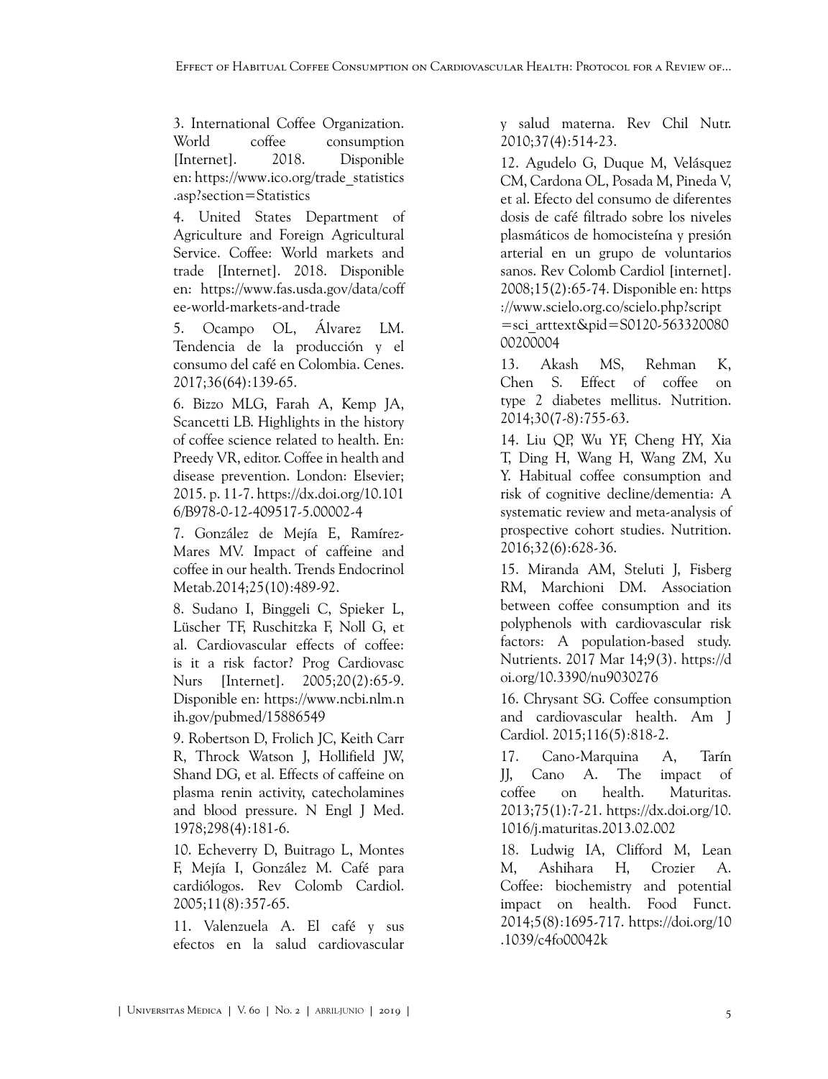<span id="page-4-0"></span>3. International Coffee Organization. World coffee consumption [Internet]. 2018. Disponible en: [https://www.ico.org/trade\\_statistics](https://www.ico.org/trade_statistics.asp?section=Statistics) [.asp?section=Statistics](https://www.ico.org/trade_statistics.asp?section=Statistics)

<span id="page-4-1"></span>4. United States Department of Agriculture and Foreign Agricultural Service. Coffee: World markets and trade [Internet]. 2018. Disponible en: [https://www.fas.usda.gov/data/coff](https://www.fas.usda.gov/data/coffee-world-markets-and-trade) [ee-world-markets-and-trade](https://www.fas.usda.gov/data/coffee-world-markets-and-trade)

<span id="page-4-2"></span>5. Ocampo OL, Álvarez LM. Tendencia de la producción y el consumo del café en Colombia. Cenes. 2017;36(64):139-65.

<span id="page-4-3"></span>6. Bizzo MLG, Farah A, Kemp JA, Scancetti LB. Highlights in the history of coffee science related to health. En: Preedy VR, editor. Coffee in health and disease prevention. London: Elsevier; 2015. p. 11-7. [https://dx.doi.org/10.101](https://dx.doi.org/10.1016/B978-0-12-409517-5.00002-4) [6/B978-0-12-409517-5.00002-4](https://dx.doi.org/10.1016/B978-0-12-409517-5.00002-4)

<span id="page-4-4"></span>7. González de Mejía E, Ramírez-Mares MV. Impact of caffeine and coffee in our health. Trends Endocrinol Metab.2014;25(10):489-92.

<span id="page-4-5"></span>8. Sudano I, Binggeli C, Spieker L, Lüscher TF, Ruschitzka F, Noll G, et al. Cardiovascular effects of coffee: is it a risk factor? Prog Cardiovasc Nurs [Internet]. 2005;20(2):65-9. Disponible en: [https://www.ncbi.nlm.n](https://www.ncbi.nlm.nih.gov/pubmed/15886549) [ih.gov/pubmed/15886549](https://www.ncbi.nlm.nih.gov/pubmed/15886549)

<span id="page-4-6"></span>9. Robertson D, Frolich JC, Keith Carr R, Throck Watson J, Hollifield JW, Shand DG, et al. Effects of caffeine on plasma renin activity, catecholamines and blood pressure. N Engl J Med. 1978;298(4):181-6.

<span id="page-4-7"></span>10. Echeverry D, Buitrago L, Montes F, Mejía I, González M. Café para cardiólogos. Rev Colomb Cardiol. 2005;11(8):357-65.

<span id="page-4-8"></span>11. Valenzuela A. El café y sus efectos en la salud cardiovascular

y salud materna. Rev Chil Nutr. 2010;37(4):514-23.

<span id="page-4-9"></span>12. Agudelo G, Duque M, Velásquez CM, Cardona OL, Posada M, Pineda V, et al. Efecto del consumo de diferentes dosis de café filtrado sobre los niveles plasmáticos de homocisteína y presión arterial en un grupo de voluntarios sanos. Rev Colomb Cardiol [internet]. 2008;15(2):65-74. Disponible en: [https](https://www.scielo.org.co/scielo.php?script=sci_arttext&pid=S0120-56332008000200004) [://www.scielo.org.co/scielo.php?script](https://www.scielo.org.co/scielo.php?script=sci_arttext&pid=S0120-56332008000200004) [=sci\\_arttext&pid=S0120-563320080](https://www.scielo.org.co/scielo.php?script=sci_arttext&pid=S0120-56332008000200004) [00200004](https://www.scielo.org.co/scielo.php?script=sci_arttext&pid=S0120-56332008000200004)

<span id="page-4-10"></span>13. Akash MS, Rehman K, Chen S. Effect of coffee on type 2 diabetes mellitus. Nutrition. 2014;30(7-8):755-63.

<span id="page-4-11"></span>14. Liu QP, Wu YF, Cheng HY, Xia T, Ding H, Wang H, Wang ZM, Xu Y. Habitual coffee consumption and risk of cognitive decline/dementia: A systematic review and meta-analysis of prospective cohort studies. Nutrition. 2016;32(6):628-36.

<span id="page-4-12"></span>15. Miranda AM, Steluti J, Fisberg RM, Marchioni DM. Association between coffee consumption and its polyphenols with cardiovascular risk factors: A population-based study. Nutrients. 2017 Mar 14;9(3). [https://d](https://doi.org/10.3390/nu9030276) [oi.org/10.3390/nu9030276](https://doi.org/10.3390/nu9030276)

<span id="page-4-13"></span>16. Chrysant SG. Coffee consumption and cardiovascular health. Am J Cardiol. 2015;116(5):818-2.

<span id="page-4-14"></span>17. Cano-Marquina A, Tarín JJ, Cano A. The impact of coffee on health. Maturitas. 2013;75(1):7-21. [https://dx.doi.org/10.](https://dx.doi.org/10.1016/j.maturitas.2013.02.002) [1016/j.maturitas.2013.02.002](https://dx.doi.org/10.1016/j.maturitas.2013.02.002)

<span id="page-4-15"></span>18. Ludwig IA, Clifford M, Lean M, Ashihara H, Crozier A. Coffee: biochemistry and potential impact on health. Food Funct. 2014;5(8):1695-717. [https://doi.org/10](https://doi.org/10.1039/c4fo00042k) [.1039/c4fo00042k](https://doi.org/10.1039/c4fo00042k)